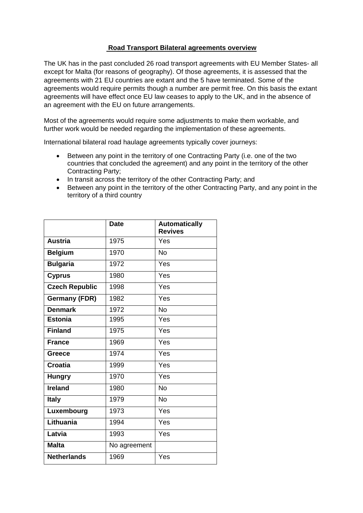## **Road Transport Bilateral agreements overview**

The UK has in the past concluded 26 road transport agreements with EU Member States- all except for Malta (for reasons of geography). Of those agreements, it is assessed that the agreements with 21 EU countries are extant and the 5 have terminated. Some of the agreements would require permits though a number are permit free. On this basis the extant agreements will have effect once EU law ceases to apply to the UK, and in the absence of an agreement with the EU on future arrangements.

Most of the agreements would require some adjustments to make them workable, and further work would be needed regarding the implementation of these agreements.

International bilateral road haulage agreements typically cover journeys:

- Between any point in the territory of one Contracting Party (i.e. one of the two countries that concluded the agreement) and any point in the territory of the other Contracting Party;
- In transit across the territory of the other Contracting Party; and
- Between any point in the territory of the other Contracting Party, and any point in the territory of a third country

|                       | <b>Date</b>  | <b>Automatically</b><br><b>Revives</b> |
|-----------------------|--------------|----------------------------------------|
| <b>Austria</b>        | 1975         | Yes                                    |
| <b>Belgium</b>        | 1970         | <b>No</b>                              |
| <b>Bulgaria</b>       | 1972         | Yes                                    |
| <b>Cyprus</b>         | 1980         | Yes                                    |
| <b>Czech Republic</b> | 1998         | Yes                                    |
| <b>Germany (FDR)</b>  | 1982         | Yes                                    |
| <b>Denmark</b>        | 1972         | <b>No</b>                              |
| <b>Estonia</b>        | 1995         | Yes                                    |
| <b>Finland</b>        | 1975         | Yes                                    |
| <b>France</b>         | 1969         | Yes                                    |
| <b>Greece</b>         | 1974         | Yes                                    |
| <b>Croatia</b>        | 1999         | Yes                                    |
| <b>Hungry</b>         | 1970         | Yes                                    |
| <b>Ireland</b>        | 1980         | <b>No</b>                              |
| <b>Italy</b>          | 1979         | <b>No</b>                              |
| Luxembourg            | 1973         | Yes                                    |
| Lithuania             | 1994         | Yes                                    |
| Latvia                | 1993         | Yes                                    |
| <b>Malta</b>          | No agreement |                                        |
| <b>Netherlands</b>    | 1969         | Yes                                    |